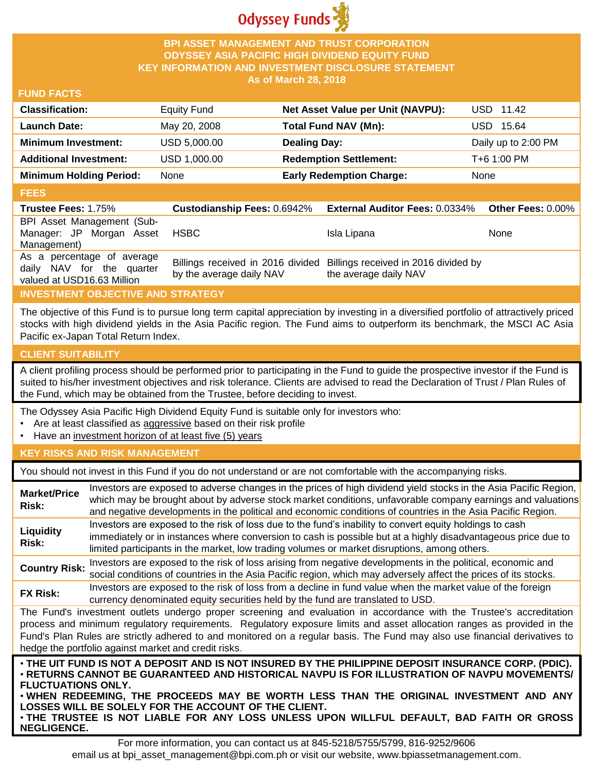

#### **BPI ASSET MANAGEMENT AND TRUST CORPORATION ODYSSEY ASIA PACIFIC HIGH DIVIDEND EQUITY FUND KEY INFORMATION AND INVESTMENT DISCLOSURE STATEMENT As of March 28, 2018**

#### **FUND FACTS**

| <b>Classification:</b>         | Equity Fund  | Net Asset Value per Unit (NAVPU): | USD 11.42           |
|--------------------------------|--------------|-----------------------------------|---------------------|
| <b>Launch Date:</b>            | May 20, 2008 | Total Fund NAV (Mn):              | USD 15.64           |
| <b>Minimum Investment:</b>     | USD 5,000.00 | <b>Dealing Day:</b>               | Daily up to 2:00 PM |
| <b>Additional Investment:</b>  | USD 1,000.00 | <b>Redemption Settlement:</b>     | T+6 1:00 PM         |
| <b>Minimum Holding Period:</b> | None         | <b>Early Redemption Charge:</b>   | None                |

#### **FEES**

| -----                                                   |                          |                                                                                                 |                   |
|---------------------------------------------------------|--------------------------|-------------------------------------------------------------------------------------------------|-------------------|
| <b>Trustee Fees: 1.75%</b>                              |                          | Custodianship Fees: 0.6942% External Auditor Fees: 0.0334%                                      | Other Fees: 0.00% |
| BPI Asset Management (Sub-                              |                          |                                                                                                 |                   |
| Manager: JP Morgan Asset                                | HSBC                     | Isla Lipana                                                                                     | <b>None</b>       |
| Management)                                             |                          |                                                                                                 |                   |
| As a percentage of average<br>daily NAV for the quarter | by the average daily NAV | Billings received in 2016 divided Billings received in 2016 divided by<br>the average daily NAV |                   |
| valued at USD16.63 Million                              |                          |                                                                                                 |                   |

# **INVESTMENT OBJECTIVE AND STRATEGY**

The objective of this Fund is to pursue long term capital appreciation by investing in a diversified portfolio of attractively priced stocks with high dividend yields in the Asia Pacific region. The Fund aims to outperform its benchmark, the MSCI AC Asia Pacific ex-Japan Total Return Index.

# **CLIENT SUITABILITY**

**NEGLIGENCE.**

A client profiling process should be performed prior to participating in the Fund to guide the prospective investor if the Fund is suited to his/her investment objectives and risk tolerance. Clients are advised to read the Declaration of Trust / Plan Rules of the Fund, which may be obtained from the Trustee, before deciding to invest.

The Odyssey Asia Pacific High Dividend Equity Fund is suitable only for investors who:

- Are at least classified as aggressive based on their risk profile
- Have an investment horizon of at least five (5) years

# **KEY RISKS AND RISK MANAGEMENT**

You should not invest in this Fund if you do not understand or are not comfortable with the accompanying risks.

| <b>Market/Price</b><br>Risk:                                                                                                                                                                                                                                                                                                                                                                                                                                                 | Investors are exposed to adverse changes in the prices of high dividend yield stocks in the Asia Pacific Region,<br>which may be brought about by adverse stock market conditions, unfavorable company earnings and valuations<br>and negative developments in the political and economic conditions of countries in the Asia Pacific Region. |  |
|------------------------------------------------------------------------------------------------------------------------------------------------------------------------------------------------------------------------------------------------------------------------------------------------------------------------------------------------------------------------------------------------------------------------------------------------------------------------------|-----------------------------------------------------------------------------------------------------------------------------------------------------------------------------------------------------------------------------------------------------------------------------------------------------------------------------------------------|--|
| Liquidity<br>Risk:                                                                                                                                                                                                                                                                                                                                                                                                                                                           | Investors are exposed to the risk of loss due to the fund's inability to convert equity holdings to cash<br>immediately or in instances where conversion to cash is possible but at a highly disadvantageous price due to<br>limited participants in the market, low trading volumes or market disruptions, among others.                     |  |
| <b>Country Risk:</b>                                                                                                                                                                                                                                                                                                                                                                                                                                                         | Investors are exposed to the risk of loss arising from negative developments in the political, economic and<br>social conditions of countries in the Asia Pacific region, which may adversely affect the prices of its stocks.                                                                                                                |  |
| <b>FX Risk:</b>                                                                                                                                                                                                                                                                                                                                                                                                                                                              | Investors are exposed to the risk of loss from a decline in fund value when the market value of the foreign<br>currency denominated equity securities held by the fund are translated to USD.                                                                                                                                                 |  |
| The Fund's investment outlets undergo proper screening and evaluation in accordance with the Trustee's accreditation<br>process and minimum regulatory requirements. Regulatory exposure limits and asset allocation ranges as provided in the<br>Fund's Plan Rules are strictly adhered to and monitored on a regular basis. The Fund may also use financial derivatives to<br>hedge the portfolio against market and credit risks.                                         |                                                                                                                                                                                                                                                                                                                                               |  |
| . THE UIT FUND IS NOT A DEPOSIT AND IS NOT INSURED BY THE PHILIPPINE DEPOSIT INSURANCE CORP. (PDIC).<br>⋅RETURNS CANNOT BE GUARANTEED AND HISTORICAL NAVPU IS FOR ILLUSTRATION OF NAVPU MOVEMENTS/<br><b>FLUCTUATIONS ONLY.</b><br>. WHEN REDEEMING, THE PROCEEDS MAY BE WORTH LESS THAN THE ORIGINAL INVESTMENT AND ANY<br>LOSSES WILL BE SOLELY FOR THE ACCOUNT OF THE CLIENT.<br>. THE TRUSTEE IS NOT LIABLE FOR ANY LOSS UNLESS UPON WILLFUL DEFAULT, BAD FAITH OR GROSS |                                                                                                                                                                                                                                                                                                                                               |  |

For more information, you can contact us at 845-5218/5755/5799, 816-9252/9606 email us at bpi\_asset\_management@bpi.com.ph or visit our website, www.bpiassetmanagement.com.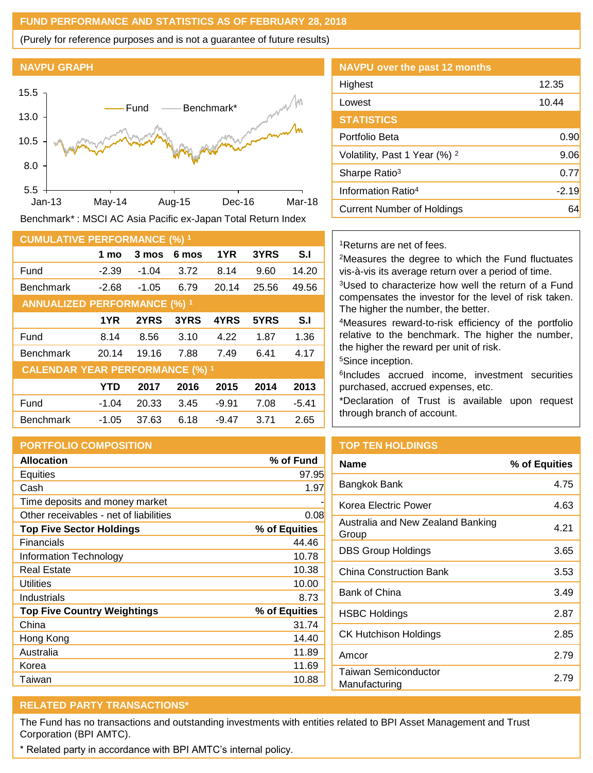#### **FUND PERFORMANCE AND STATISTICS AS OF FEBRUARY 28, 2018**

(Purely for reference purposes and is not a guarantee of future results)

#### **NAVPU GRAPH**



Benchmark\* : MSCI AC Asia Pacific ex-Japan Total Return Index

| <b>CUMULATIVE PERFORMANCE (%) 1</b>    |            |         |       |         |       |         |
|----------------------------------------|------------|---------|-------|---------|-------|---------|
|                                        | 1 mo       | 3 mos   | 6 mos | 1YR     | 3YRS  | S.I     |
| Fund                                   | $-2.39$    | -1.04   | 3.72  | 8.14    | 9.60  | 14.20   |
| <b>Benchmark</b>                       | $-2.68$    | $-1.05$ | 6.79  | 20.14   | 25.56 | 49.56   |
| <b>ANNUALIZED PERFORMANCE (%) 1</b>    |            |         |       |         |       |         |
|                                        | 1YR        | 2YRS    | 3YRS  | 4YRS    | 5YRS  | S.I     |
| Fund                                   | 8.14       | 8.56    | 3.10  | 4.22    | 1.87  | 1.36    |
| <b>Benchmark</b>                       | 20.14      | 19.16   | 7.88  | 7.49    | 6.41  | 4.17    |
| <b>CALENDAR YEAR PERFORMANCE (%) 1</b> |            |         |       |         |       |         |
|                                        | <b>YTD</b> | 2017    | 2016  | 2015    | 2014  | 2013    |
| Fund                                   | $-1.04$    | 20.33   | 3.45  | $-9.91$ | 7.08  | $-5.41$ |
| <b>Benchmark</b>                       | $-1.05$    | 37.63   | 6.18  | $-9.47$ | 3.71  | 2.65    |

# **PORTFOLIO COMPOSITION**

| <b>Allocation</b>                      | % of Fund     |
|----------------------------------------|---------------|
| Equities                               | 97.95         |
| Cash                                   | 1.97          |
| Time deposits and money market         |               |
| Other receivables - net of liabilities | 0.08          |
| <b>Top Five Sector Holdings</b>        | % of Equities |
| Financials                             | 44.46         |
| Information Technology                 | 10.78         |
| <b>Real Estate</b>                     | 10.38         |
| Utilities                              | 10.00         |
| Industrials                            | 8.73          |
| <b>Top Five Country Weightings</b>     | % of Equities |
| China                                  | 31.74         |
| Hong Kong                              | 14.40         |
| Australia                              | 11.89         |
| Korea                                  | 11.69         |
| Taiwan                                 | 10.88         |

# **NAVPU over the past 12 months** Highest 12.35 Lowest 10.44 **STATISTICS** Portfolio Beta 0.90 Volatility, Past 1 Year  $(\%)$  <sup>2</sup> 9.06 Sharpe Ratio<sup>3</sup> 0.77 Information Ratio<sup>4</sup> -2.19 Current Number of Holdings **64**

#### <sup>1</sup>Returns are net of fees.

<sup>2</sup>Measures the degree to which the Fund fluctuates vis-à-vis its average return over a period of time.

<sup>3</sup>Used to characterize how well the return of a Fund compensates the investor for the level of risk taken. The higher the number, the better.

<sup>4</sup>Measures reward-to-risk efficiency of the portfolio relative to the benchmark. The higher the number, the higher the reward per unit of risk.

<sup>5</sup>Since inception.

6 Includes accrued income, investment securities purchased, accrued expenses, etc.

\*Declaration of Trust is available upon request through branch of account.

# **TOP TEN HOLDINGS**

| Name                                       | % of Equities |
|--------------------------------------------|---------------|
| Bangkok Bank                               | 4.75          |
| Korea Electric Power                       | 4.63          |
| Australia and New Zealand Banking<br>Group | 4.21          |
| DBS Group Holdings                         | 3.65          |
| China Construction Bank                    | 3.53          |
| Bank of China                              | 3.49          |
| <b>HSBC Holdings</b>                       | 2.87          |
| CK Hutchison Holdings                      | 2.85          |
| Amcor                                      | 2.79          |
| Taiwan Semiconductor<br>Manufacturing      | 2.79          |

# **RELATED PARTY TRANSACTIONS\***

The Fund has no transactions and outstanding investments with entities related to BPI Asset Management and Trust Corporation (BPI AMTC).

\* Related party in accordance with BPI AMTC's internal policy.